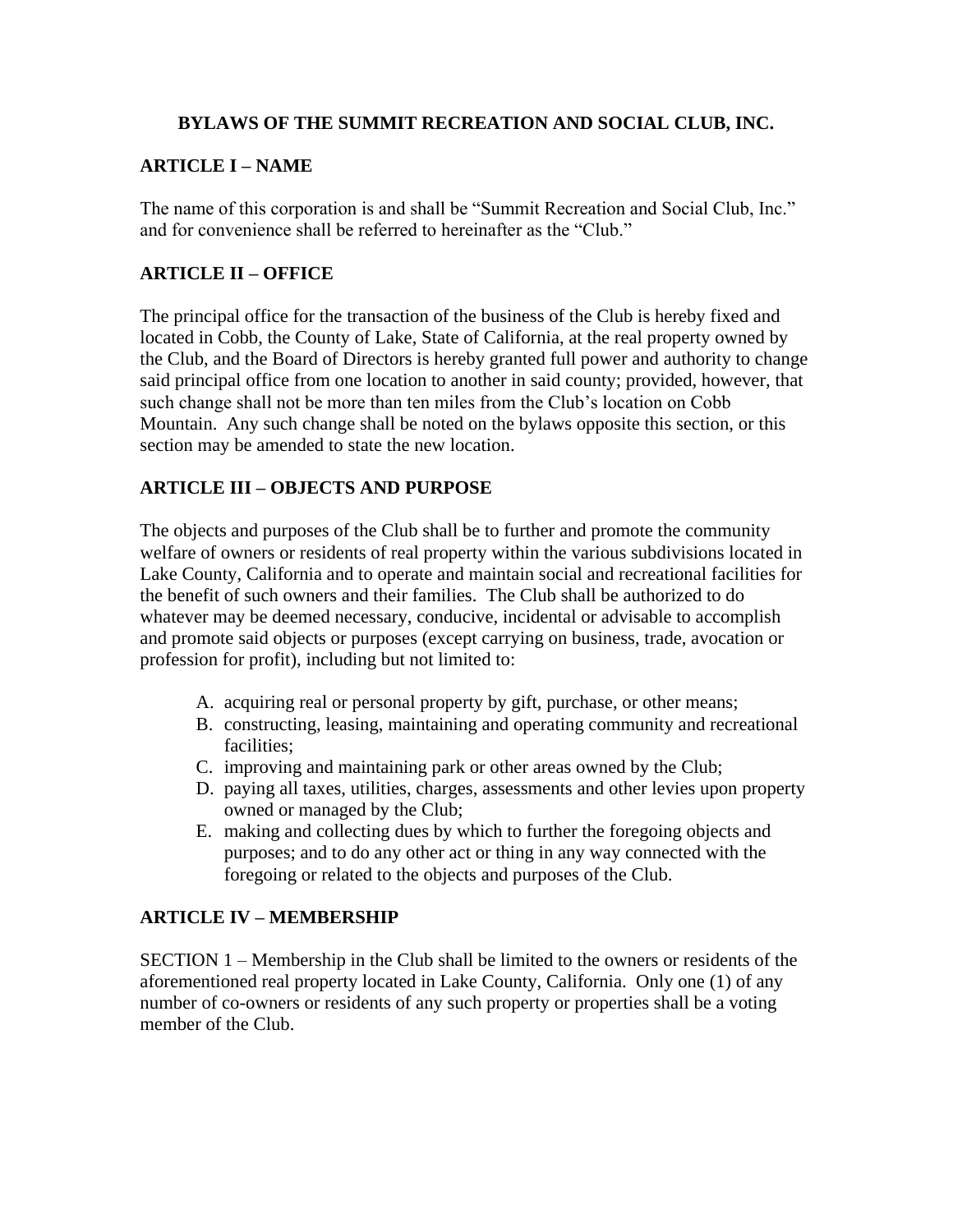#### **BYLAWS OF THE SUMMIT RECREATION AND SOCIAL CLUB, INC.**

### **ARTICLE I – NAME**

The name of this corporation is and shall be "Summit Recreation and Social Club, Inc." and for convenience shall be referred to hereinafter as the "Club."

## **ARTICLE II – OFFICE**

The principal office for the transaction of the business of the Club is hereby fixed and located in Cobb, the County of Lake, State of California, at the real property owned by the Club, and the Board of Directors is hereby granted full power and authority to change said principal office from one location to another in said county; provided, however, that such change shall not be more than ten miles from the Club's location on Cobb Mountain. Any such change shall be noted on the bylaws opposite this section, or this section may be amended to state the new location.

## **ARTICLE III – OBJECTS AND PURPOSE**

The objects and purposes of the Club shall be to further and promote the community welfare of owners or residents of real property within the various subdivisions located in Lake County, California and to operate and maintain social and recreational facilities for the benefit of such owners and their families. The Club shall be authorized to do whatever may be deemed necessary, conducive, incidental or advisable to accomplish and promote said objects or purposes (except carrying on business, trade, avocation or profession for profit), including but not limited to:

- A. acquiring real or personal property by gift, purchase, or other means;
- B. constructing, leasing, maintaining and operating community and recreational facilities;
- C. improving and maintaining park or other areas owned by the Club;
- D. paying all taxes, utilities, charges, assessments and other levies upon property owned or managed by the Club;
- E. making and collecting dues by which to further the foregoing objects and purposes; and to do any other act or thing in any way connected with the foregoing or related to the objects and purposes of the Club.

#### **ARTICLE IV – MEMBERSHIP**

SECTION 1 – Membership in the Club shall be limited to the owners or residents of the aforementioned real property located in Lake County, California. Only one (1) of any number of co-owners or residents of any such property or properties shall be a voting member of the Club.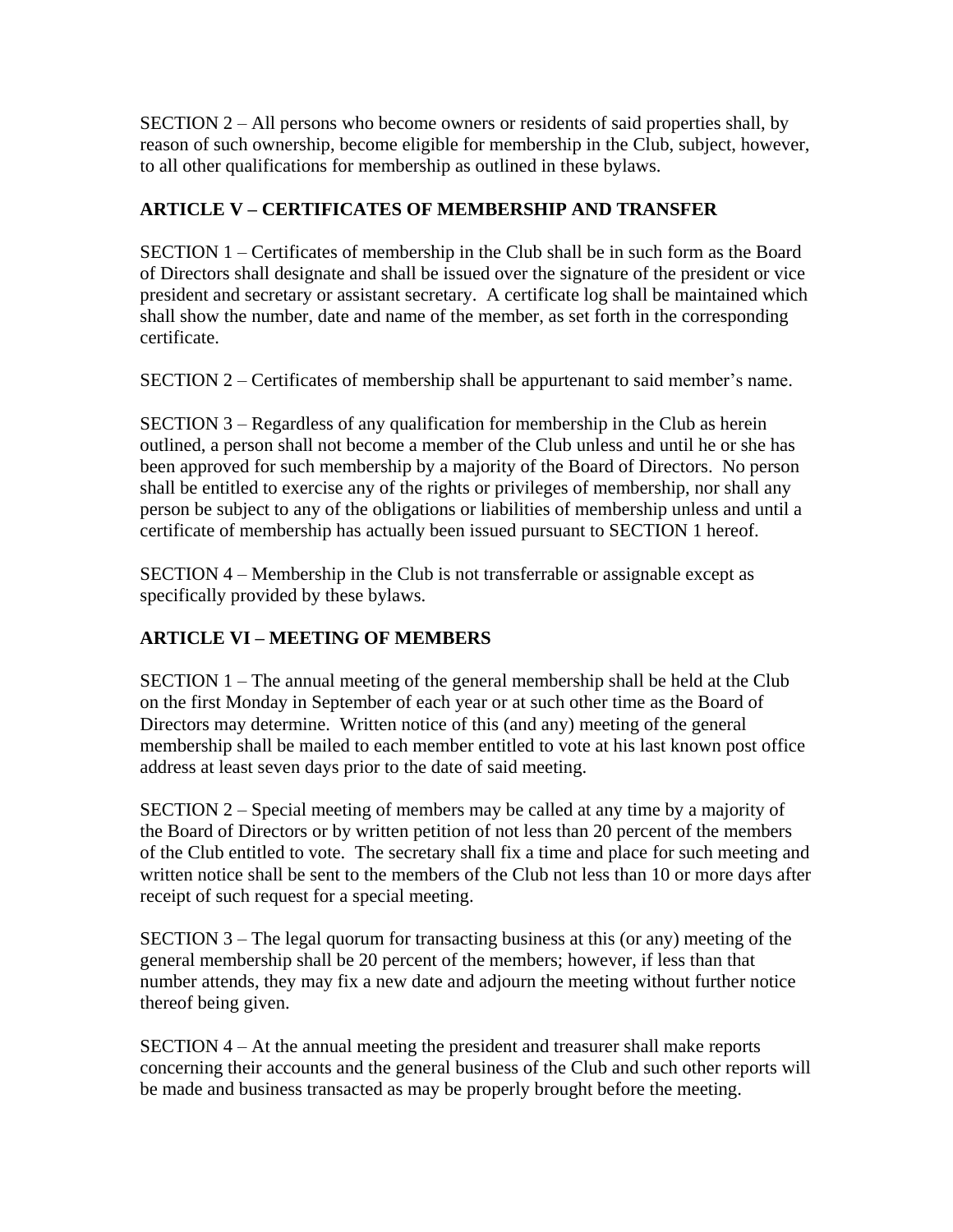SECTION 2 – All persons who become owners or residents of said properties shall, by reason of such ownership, become eligible for membership in the Club, subject, however, to all other qualifications for membership as outlined in these bylaws.

## **ARTICLE V – CERTIFICATES OF MEMBERSHIP AND TRANSFER**

SECTION 1 – Certificates of membership in the Club shall be in such form as the Board of Directors shall designate and shall be issued over the signature of the president or vice president and secretary or assistant secretary. A certificate log shall be maintained which shall show the number, date and name of the member, as set forth in the corresponding certificate.

SECTION 2 – Certificates of membership shall be appurtenant to said member's name.

SECTION 3 – Regardless of any qualification for membership in the Club as herein outlined, a person shall not become a member of the Club unless and until he or she has been approved for such membership by a majority of the Board of Directors. No person shall be entitled to exercise any of the rights or privileges of membership, nor shall any person be subject to any of the obligations or liabilities of membership unless and until a certificate of membership has actually been issued pursuant to SECTION 1 hereof.

SECTION 4 – Membership in the Club is not transferrable or assignable except as specifically provided by these bylaws.

## **ARTICLE VI – MEETING OF MEMBERS**

SECTION 1 – The annual meeting of the general membership shall be held at the Club on the first Monday in September of each year or at such other time as the Board of Directors may determine. Written notice of this (and any) meeting of the general membership shall be mailed to each member entitled to vote at his last known post office address at least seven days prior to the date of said meeting.

SECTION 2 – Special meeting of members may be called at any time by a majority of the Board of Directors or by written petition of not less than 20 percent of the members of the Club entitled to vote. The secretary shall fix a time and place for such meeting and written notice shall be sent to the members of the Club not less than 10 or more days after receipt of such request for a special meeting.

SECTION 3 – The legal quorum for transacting business at this (or any) meeting of the general membership shall be 20 percent of the members; however, if less than that number attends, they may fix a new date and adjourn the meeting without further notice thereof being given.

SECTION 4 – At the annual meeting the president and treasurer shall make reports concerning their accounts and the general business of the Club and such other reports will be made and business transacted as may be properly brought before the meeting.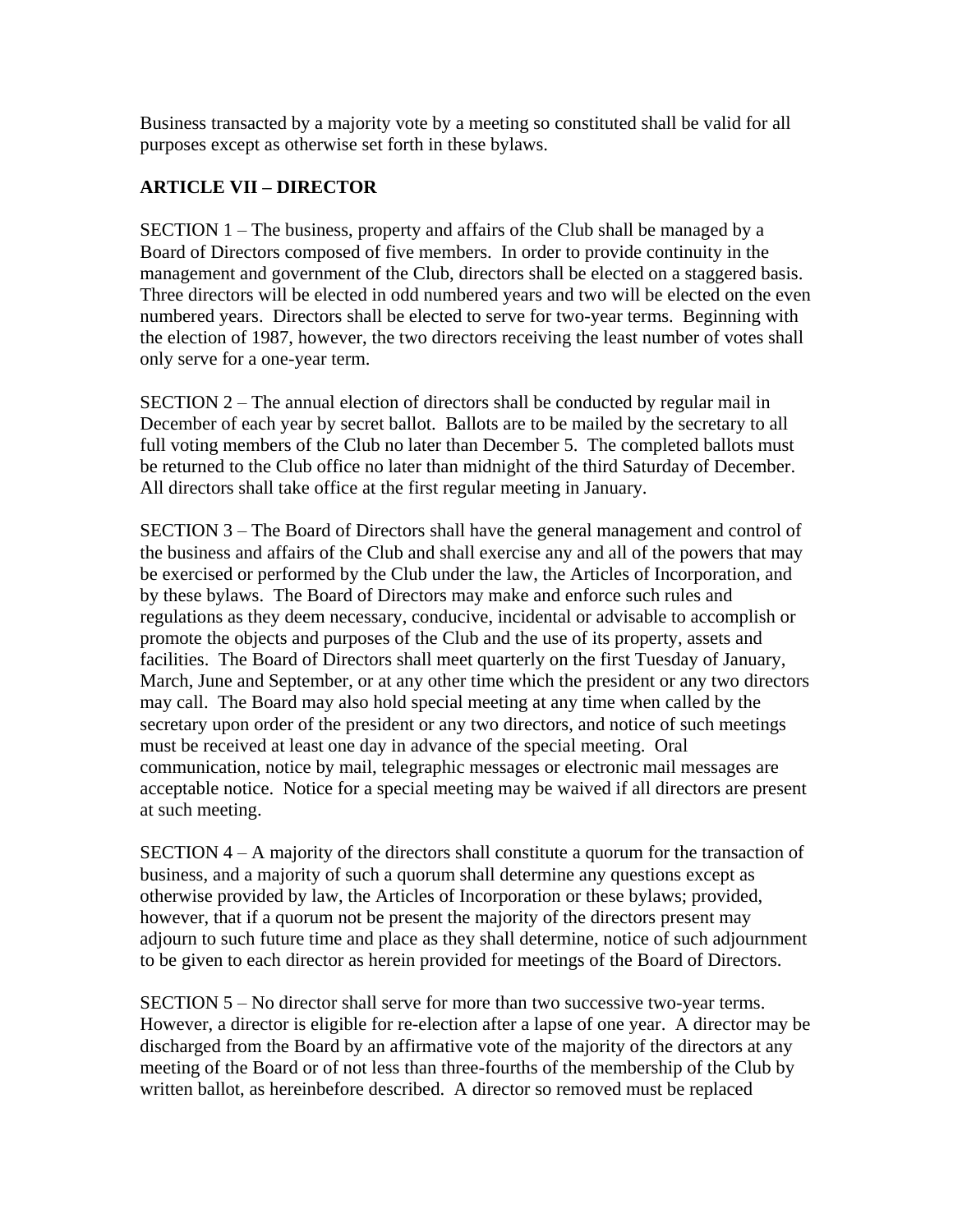Business transacted by a majority vote by a meeting so constituted shall be valid for all purposes except as otherwise set forth in these bylaws.

## **ARTICLE VII – DIRECTOR**

SECTION 1 – The business, property and affairs of the Club shall be managed by a Board of Directors composed of five members. In order to provide continuity in the management and government of the Club, directors shall be elected on a staggered basis. Three directors will be elected in odd numbered years and two will be elected on the even numbered years. Directors shall be elected to serve for two-year terms. Beginning with the election of 1987, however, the two directors receiving the least number of votes shall only serve for a one-year term.

SECTION 2 – The annual election of directors shall be conducted by regular mail in December of each year by secret ballot. Ballots are to be mailed by the secretary to all full voting members of the Club no later than December 5. The completed ballots must be returned to the Club office no later than midnight of the third Saturday of December. All directors shall take office at the first regular meeting in January.

SECTION 3 – The Board of Directors shall have the general management and control of the business and affairs of the Club and shall exercise any and all of the powers that may be exercised or performed by the Club under the law, the Articles of Incorporation, and by these bylaws. The Board of Directors may make and enforce such rules and regulations as they deem necessary, conducive, incidental or advisable to accomplish or promote the objects and purposes of the Club and the use of its property, assets and facilities. The Board of Directors shall meet quarterly on the first Tuesday of January, March, June and September, or at any other time which the president or any two directors may call. The Board may also hold special meeting at any time when called by the secretary upon order of the president or any two directors, and notice of such meetings must be received at least one day in advance of the special meeting. Oral communication, notice by mail, telegraphic messages or electronic mail messages are acceptable notice. Notice for a special meeting may be waived if all directors are present at such meeting.

SECTION 4 – A majority of the directors shall constitute a quorum for the transaction of business, and a majority of such a quorum shall determine any questions except as otherwise provided by law, the Articles of Incorporation or these bylaws; provided, however, that if a quorum not be present the majority of the directors present may adjourn to such future time and place as they shall determine, notice of such adjournment to be given to each director as herein provided for meetings of the Board of Directors.

SECTION 5 – No director shall serve for more than two successive two-year terms. However, a director is eligible for re-election after a lapse of one year. A director may be discharged from the Board by an affirmative vote of the majority of the directors at any meeting of the Board or of not less than three-fourths of the membership of the Club by written ballot, as hereinbefore described. A director so removed must be replaced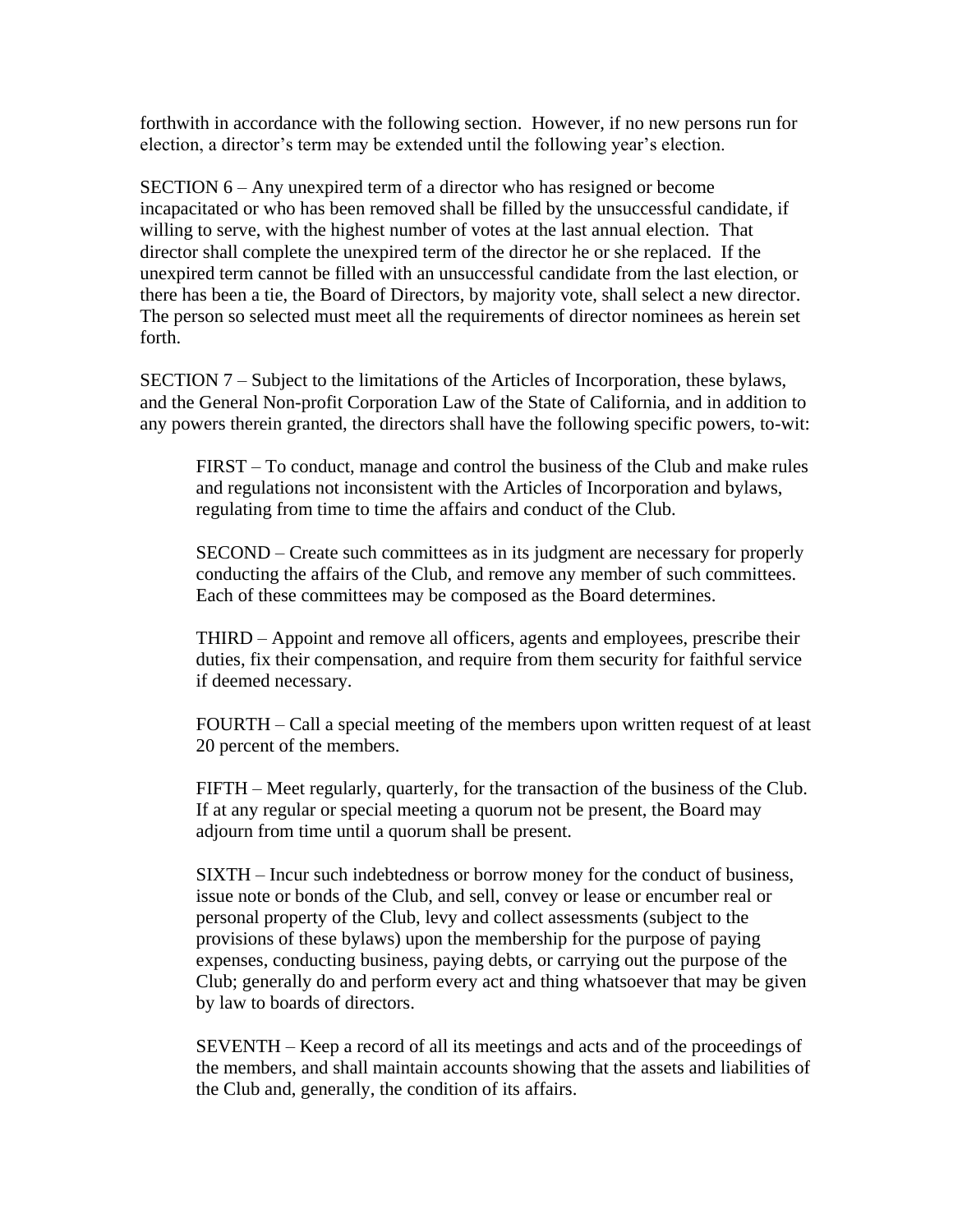forthwith in accordance with the following section. However, if no new persons run for election, a director's term may be extended until the following year's election.

SECTION 6 – Any unexpired term of a director who has resigned or become incapacitated or who has been removed shall be filled by the unsuccessful candidate, if willing to serve, with the highest number of votes at the last annual election. That director shall complete the unexpired term of the director he or she replaced. If the unexpired term cannot be filled with an unsuccessful candidate from the last election, or there has been a tie, the Board of Directors, by majority vote, shall select a new director. The person so selected must meet all the requirements of director nominees as herein set forth.

SECTION 7 – Subject to the limitations of the Articles of Incorporation, these bylaws, and the General Non-profit Corporation Law of the State of California, and in addition to any powers therein granted, the directors shall have the following specific powers, to-wit:

FIRST – To conduct, manage and control the business of the Club and make rules and regulations not inconsistent with the Articles of Incorporation and bylaws, regulating from time to time the affairs and conduct of the Club.

SECOND – Create such committees as in its judgment are necessary for properly conducting the affairs of the Club, and remove any member of such committees. Each of these committees may be composed as the Board determines.

THIRD – Appoint and remove all officers, agents and employees, prescribe their duties, fix their compensation, and require from them security for faithful service if deemed necessary.

FOURTH – Call a special meeting of the members upon written request of at least 20 percent of the members.

FIFTH – Meet regularly, quarterly, for the transaction of the business of the Club. If at any regular or special meeting a quorum not be present, the Board may adjourn from time until a quorum shall be present.

SIXTH – Incur such indebtedness or borrow money for the conduct of business, issue note or bonds of the Club, and sell, convey or lease or encumber real or personal property of the Club, levy and collect assessments (subject to the provisions of these bylaws) upon the membership for the purpose of paying expenses, conducting business, paying debts, or carrying out the purpose of the Club; generally do and perform every act and thing whatsoever that may be given by law to boards of directors.

SEVENTH – Keep a record of all its meetings and acts and of the proceedings of the members, and shall maintain accounts showing that the assets and liabilities of the Club and, generally, the condition of its affairs.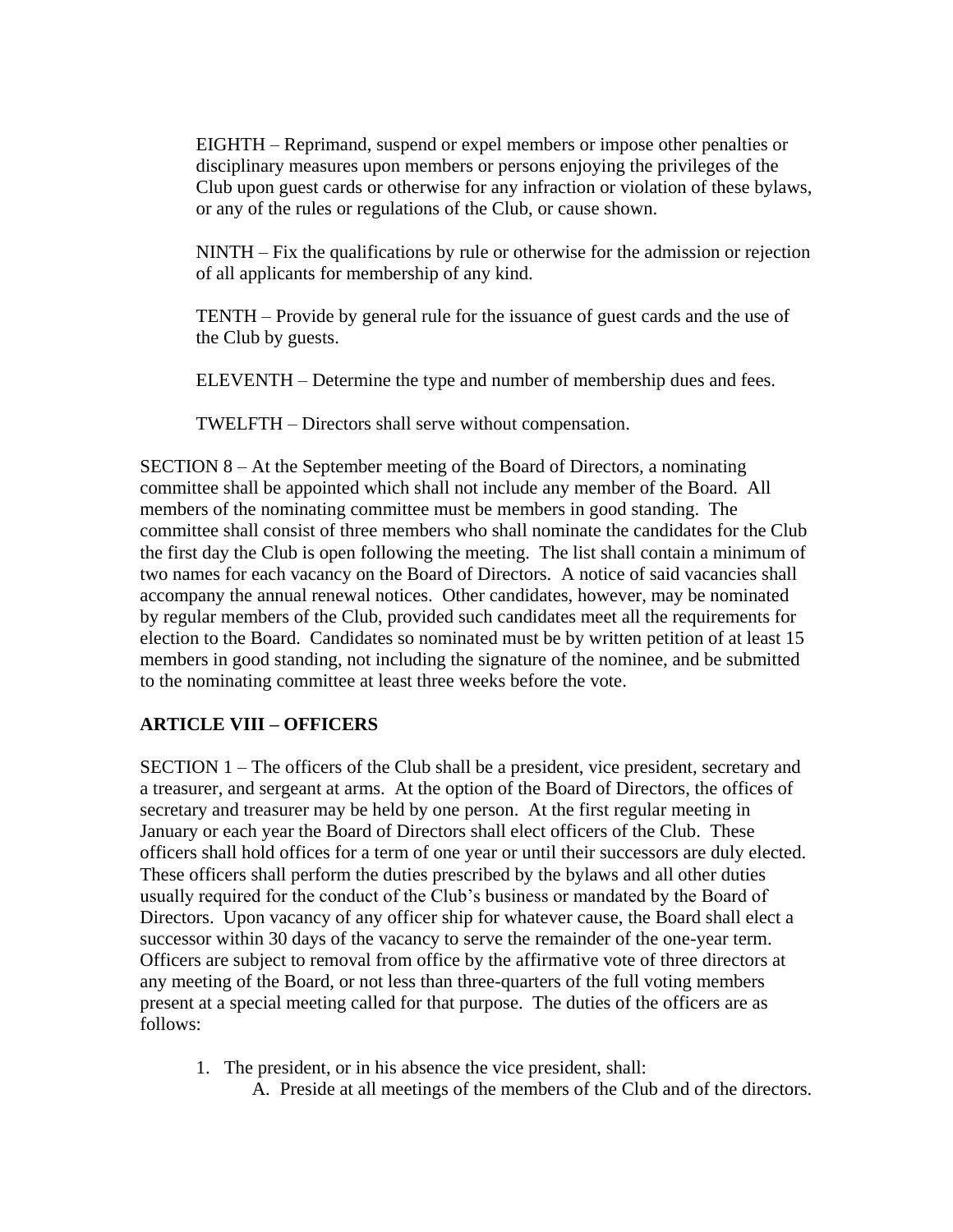EIGHTH – Reprimand, suspend or expel members or impose other penalties or disciplinary measures upon members or persons enjoying the privileges of the Club upon guest cards or otherwise for any infraction or violation of these bylaws, or any of the rules or regulations of the Club, or cause shown.

NINTH – Fix the qualifications by rule or otherwise for the admission or rejection of all applicants for membership of any kind.

TENTH – Provide by general rule for the issuance of guest cards and the use of the Club by guests.

ELEVENTH – Determine the type and number of membership dues and fees.

TWELFTH – Directors shall serve without compensation.

SECTION 8 – At the September meeting of the Board of Directors, a nominating committee shall be appointed which shall not include any member of the Board. All members of the nominating committee must be members in good standing. The committee shall consist of three members who shall nominate the candidates for the Club the first day the Club is open following the meeting. The list shall contain a minimum of two names for each vacancy on the Board of Directors. A notice of said vacancies shall accompany the annual renewal notices. Other candidates, however, may be nominated by regular members of the Club, provided such candidates meet all the requirements for election to the Board. Candidates so nominated must be by written petition of at least 15 members in good standing, not including the signature of the nominee, and be submitted to the nominating committee at least three weeks before the vote.

#### **ARTICLE VIII – OFFICERS**

SECTION 1 – The officers of the Club shall be a president, vice president, secretary and a treasurer, and sergeant at arms. At the option of the Board of Directors, the offices of secretary and treasurer may be held by one person. At the first regular meeting in January or each year the Board of Directors shall elect officers of the Club. These officers shall hold offices for a term of one year or until their successors are duly elected. These officers shall perform the duties prescribed by the bylaws and all other duties usually required for the conduct of the Club's business or mandated by the Board of Directors. Upon vacancy of any officer ship for whatever cause, the Board shall elect a successor within 30 days of the vacancy to serve the remainder of the one-year term. Officers are subject to removal from office by the affirmative vote of three directors at any meeting of the Board, or not less than three-quarters of the full voting members present at a special meeting called for that purpose. The duties of the officers are as follows:

1. The president, or in his absence the vice president, shall:

A. Preside at all meetings of the members of the Club and of the directors.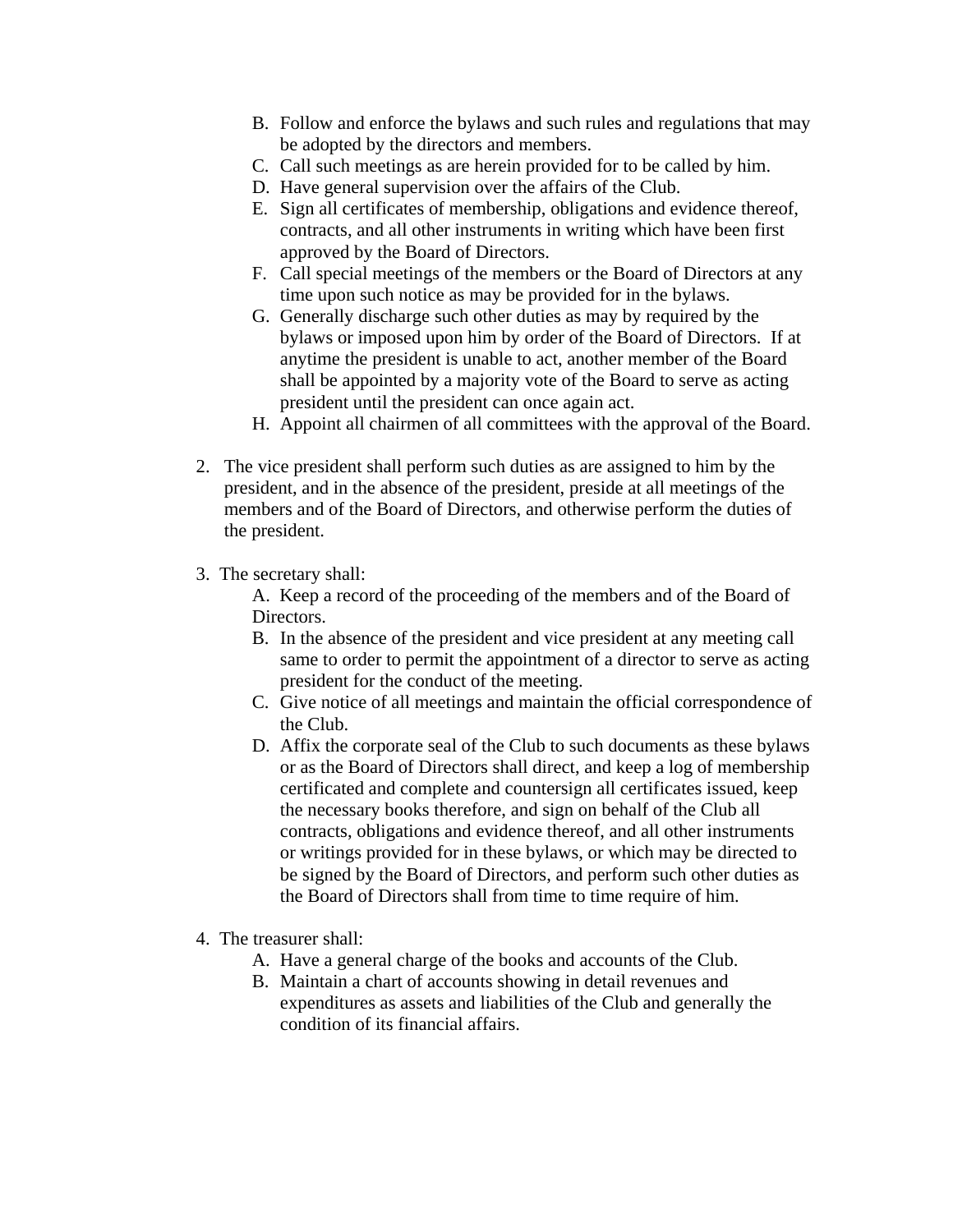- B. Follow and enforce the bylaws and such rules and regulations that may be adopted by the directors and members.
- C. Call such meetings as are herein provided for to be called by him.
- D. Have general supervision over the affairs of the Club.
- E. Sign all certificates of membership, obligations and evidence thereof, contracts, and all other instruments in writing which have been first approved by the Board of Directors.
- F. Call special meetings of the members or the Board of Directors at any time upon such notice as may be provided for in the bylaws.
- G. Generally discharge such other duties as may by required by the bylaws or imposed upon him by order of the Board of Directors. If at anytime the president is unable to act, another member of the Board shall be appointed by a majority vote of the Board to serve as acting president until the president can once again act.
- H. Appoint all chairmen of all committees with the approval of the Board.
- 2. The vice president shall perform such duties as are assigned to him by the president, and in the absence of the president, preside at all meetings of the members and of the Board of Directors, and otherwise perform the duties of the president.
- 3. The secretary shall:

A. Keep a record of the proceeding of the members and of the Board of Directors.

- B. In the absence of the president and vice president at any meeting call same to order to permit the appointment of a director to serve as acting president for the conduct of the meeting.
- C. Give notice of all meetings and maintain the official correspondence of the Club.
- D. Affix the corporate seal of the Club to such documents as these bylaws or as the Board of Directors shall direct, and keep a log of membership certificated and complete and countersign all certificates issued, keep the necessary books therefore, and sign on behalf of the Club all contracts, obligations and evidence thereof, and all other instruments or writings provided for in these bylaws, or which may be directed to be signed by the Board of Directors, and perform such other duties as the Board of Directors shall from time to time require of him.
- 4. The treasurer shall:
	- A. Have a general charge of the books and accounts of the Club.
	- B. Maintain a chart of accounts showing in detail revenues and expenditures as assets and liabilities of the Club and generally the condition of its financial affairs.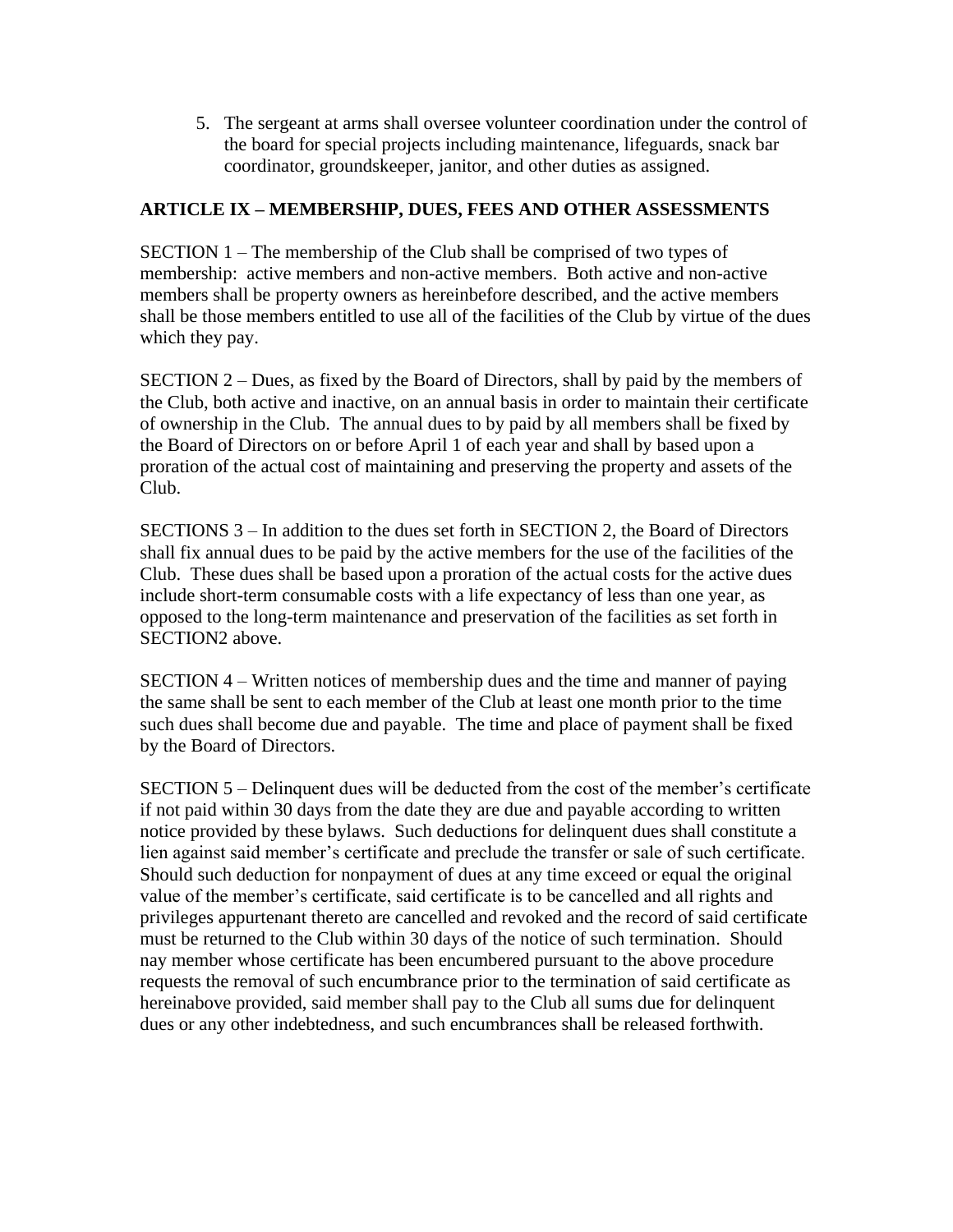5. The sergeant at arms shall oversee volunteer coordination under the control of the board for special projects including maintenance, lifeguards, snack bar coordinator, groundskeeper, janitor, and other duties as assigned.

#### **ARTICLE IX – MEMBERSHIP, DUES, FEES AND OTHER ASSESSMENTS**

SECTION 1 – The membership of the Club shall be comprised of two types of membership: active members and non-active members. Both active and non-active members shall be property owners as hereinbefore described, and the active members shall be those members entitled to use all of the facilities of the Club by virtue of the dues which they pay.

SECTION 2 – Dues, as fixed by the Board of Directors, shall by paid by the members of the Club, both active and inactive, on an annual basis in order to maintain their certificate of ownership in the Club. The annual dues to by paid by all members shall be fixed by the Board of Directors on or before April 1 of each year and shall by based upon a proration of the actual cost of maintaining and preserving the property and assets of the Club.

SECTIONS 3 – In addition to the dues set forth in SECTION 2, the Board of Directors shall fix annual dues to be paid by the active members for the use of the facilities of the Club. These dues shall be based upon a proration of the actual costs for the active dues include short-term consumable costs with a life expectancy of less than one year, as opposed to the long-term maintenance and preservation of the facilities as set forth in SECTION2 above.

SECTION 4 – Written notices of membership dues and the time and manner of paying the same shall be sent to each member of the Club at least one month prior to the time such dues shall become due and payable. The time and place of payment shall be fixed by the Board of Directors.

SECTION 5 – Delinquent dues will be deducted from the cost of the member's certificate if not paid within 30 days from the date they are due and payable according to written notice provided by these bylaws. Such deductions for delinquent dues shall constitute a lien against said member's certificate and preclude the transfer or sale of such certificate. Should such deduction for nonpayment of dues at any time exceed or equal the original value of the member's certificate, said certificate is to be cancelled and all rights and privileges appurtenant thereto are cancelled and revoked and the record of said certificate must be returned to the Club within 30 days of the notice of such termination. Should nay member whose certificate has been encumbered pursuant to the above procedure requests the removal of such encumbrance prior to the termination of said certificate as hereinabove provided, said member shall pay to the Club all sums due for delinquent dues or any other indebtedness, and such encumbrances shall be released forthwith.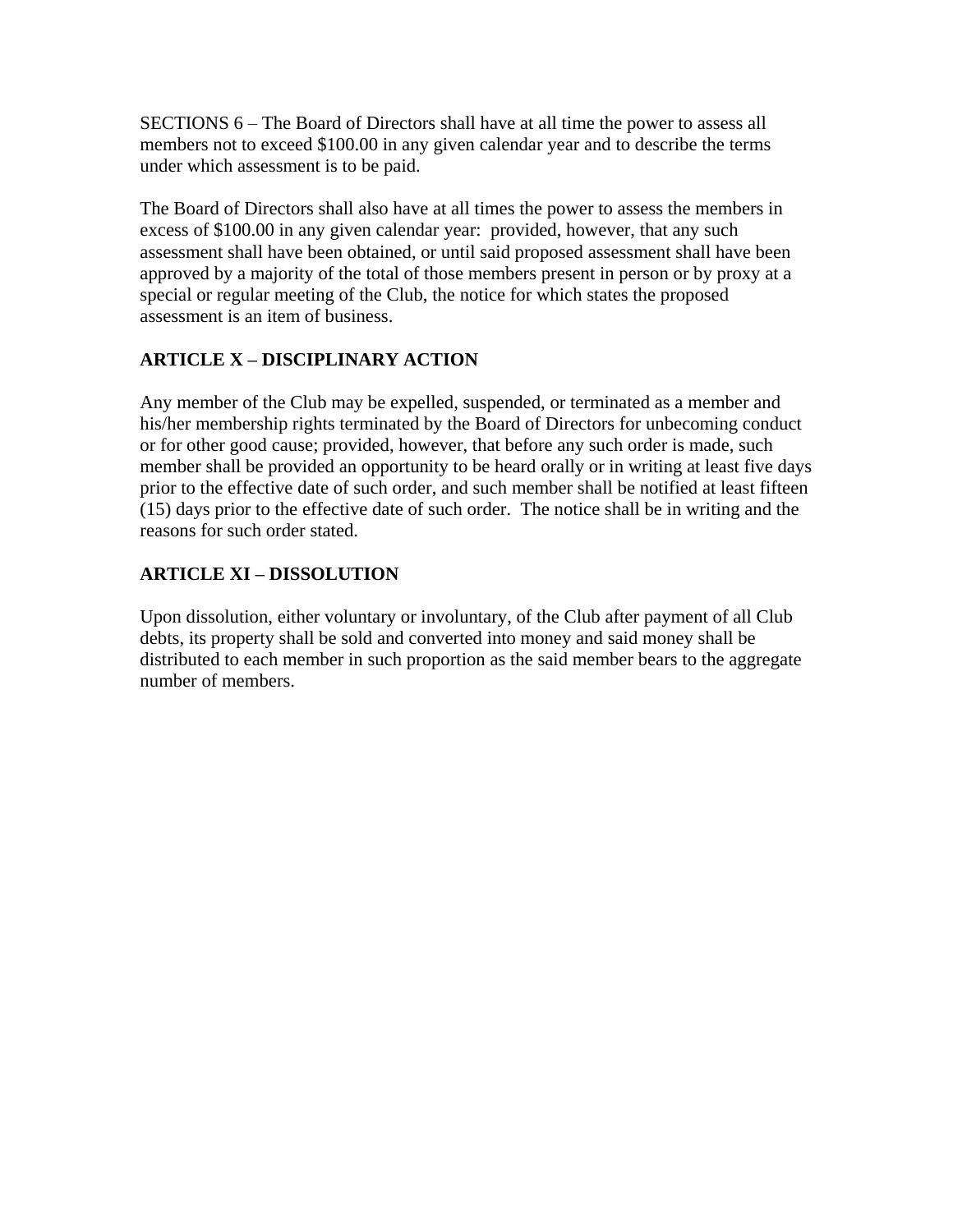SECTIONS 6 – The Board of Directors shall have at all time the power to assess all members not to exceed \$100.00 in any given calendar year and to describe the terms under which assessment is to be paid.

The Board of Directors shall also have at all times the power to assess the members in excess of \$100.00 in any given calendar year: provided, however, that any such assessment shall have been obtained, or until said proposed assessment shall have been approved by a majority of the total of those members present in person or by proxy at a special or regular meeting of the Club, the notice for which states the proposed assessment is an item of business.

# **ARTICLE X – DISCIPLINARY ACTION**

Any member of the Club may be expelled, suspended, or terminated as a member and his/her membership rights terminated by the Board of Directors for unbecoming conduct or for other good cause; provided, however, that before any such order is made, such member shall be provided an opportunity to be heard orally or in writing at least five days prior to the effective date of such order, and such member shall be notified at least fifteen (15) days prior to the effective date of such order. The notice shall be in writing and the reasons for such order stated.

## **ARTICLE XI – DISSOLUTION**

Upon dissolution, either voluntary or involuntary, of the Club after payment of all Club debts, its property shall be sold and converted into money and said money shall be distributed to each member in such proportion as the said member bears to the aggregate number of members.